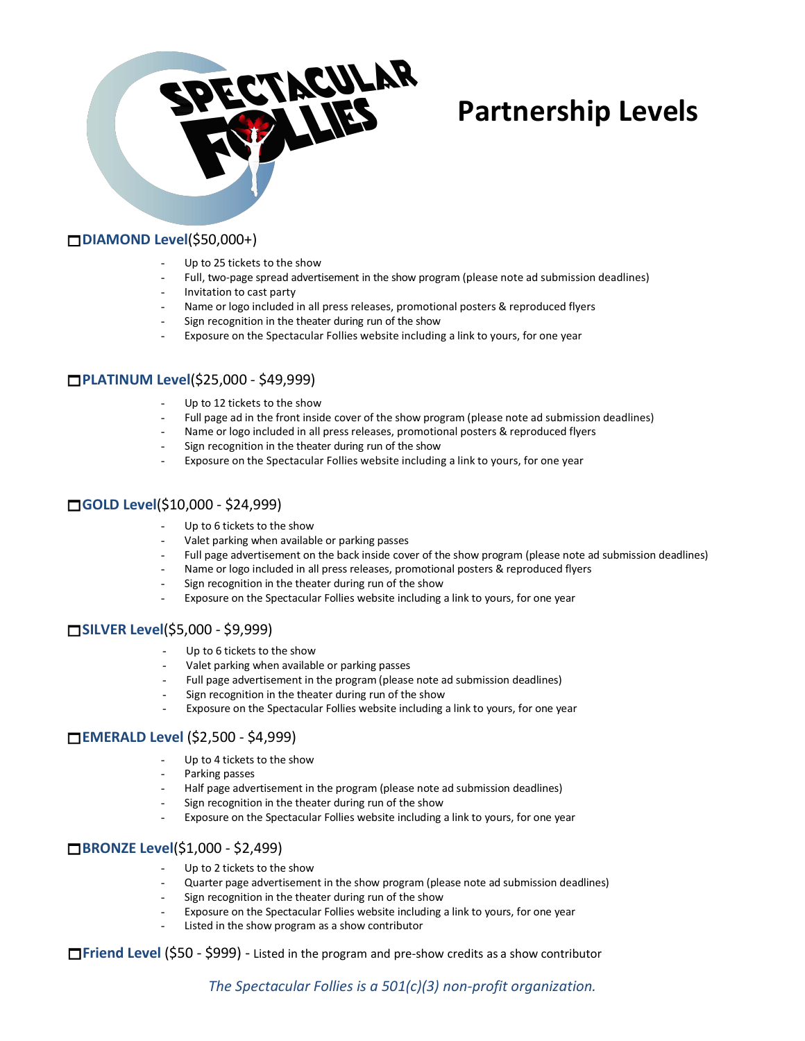

# **Partnership Levels**

### **DIAMOND Level**(\$50,000+)

- Up to 25 tickets to the show
- Full, two-page spread advertisement in the show program (please note ad submission deadlines)
- Invitation to cast party
- Name or logo included in all press releases, promotional posters & reproduced flyers
- Sign recognition in the theater during run of the show
- Exposure on the Spectacular Follies website including a link to yours, for one year

### **PLATINUM Level**(\$25,000 - \$49,999)

- Up to 12 tickets to the show
- Full page ad in the front inside cover of the show program (please note ad submission deadlines)
- Name or logo included in all press releases, promotional posters & reproduced flyers
- Sign recognition in the theater during run of the show
- Exposure on the Spectacular Follies website including a link to yours, for one year

# **GOLD Level**(\$10,000 - \$24,999)

- Up to 6 tickets to the show
- Valet parking when available or parking passes
- Full page advertisement on the back inside cover of the show program (please note ad submission deadlines)
- Name or logo included in all press releases, promotional posters & reproduced flyers
- Sign recognition in the theater during run of the show
- Exposure on the Spectacular Follies website including a link to yours, for one year

#### **SILVER Level**(\$5,000 - \$9,999)

- Up to 6 tickets to the show
- Valet parking when available or parking passes
- Full page advertisement in the program (please note ad submission deadlines)
- Sign recognition in the theater during run of the show
- Exposure on the Spectacular Follies website including a link to yours, for one year

# **EMERALD Level** (\$2,500 - \$4,999)

- Up to 4 tickets to the show
- Parking passes
- Half page advertisement in the program (please note ad submission deadlines)
- Sign recognition in the theater during run of the show
- Exposure on the Spectacular Follies website including a link to yours, for one year

#### **BRONZE Level**(\$1,000 - \$2,499)

- Up to 2 tickets to the show
- Quarter page advertisement in the show program (please note ad submission deadlines)
- Sign recognition in the theater during run of the show
- Exposure on the Spectacular Follies website including a link to yours, for one year
- Listed in the show program as a show contributor

**Friend Level** (\$50 - \$999) - Listed in the program and pre-show credits as a show contributor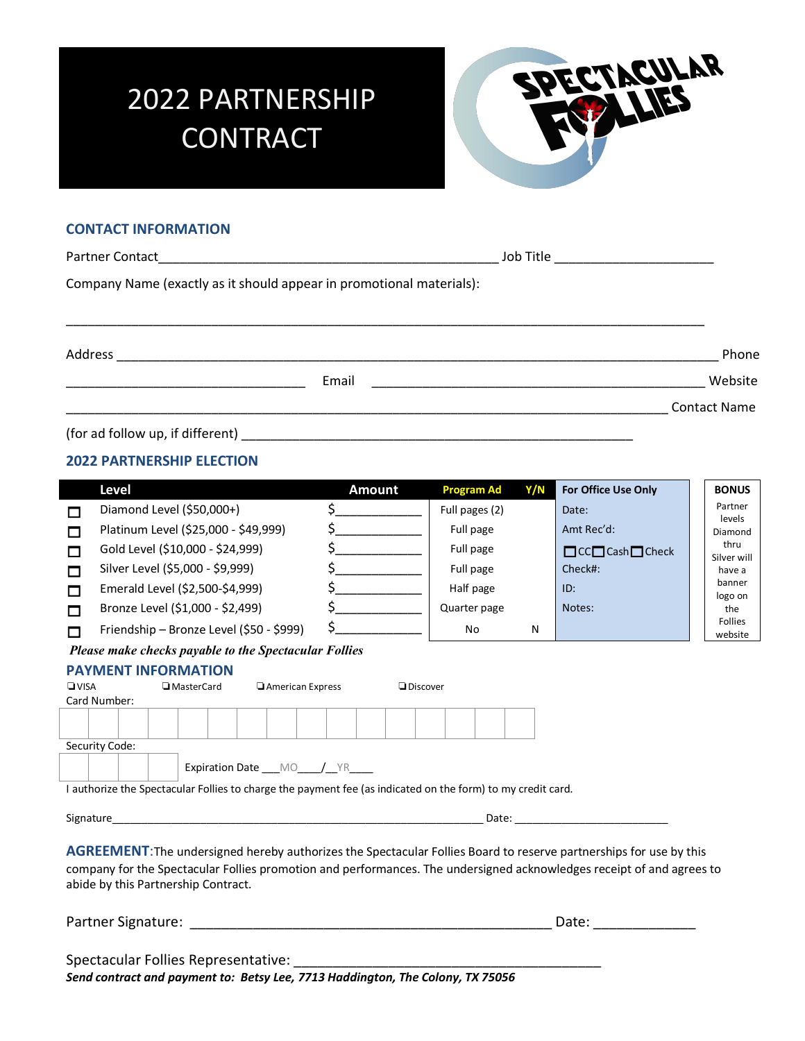# 2022 PARTNERSHIP **CONTRACT**



## **CONTACT INFORMATION**

|                                                                      | Job Title ____________________________ |  |  |  |  |  |  |  |
|----------------------------------------------------------------------|----------------------------------------|--|--|--|--|--|--|--|
| Company Name (exactly as it should appear in promotional materials): |                                        |  |  |  |  |  |  |  |
|                                                                      | Phone                                  |  |  |  |  |  |  |  |
| Email                                                                | Website                                |  |  |  |  |  |  |  |
|                                                                      | <b>Contact Name</b>                    |  |  |  |  |  |  |  |
| (for ad follow up, if different)                                     |                                        |  |  |  |  |  |  |  |

#### **2022 PARTNERSHIP ELECTION**

|                                                                                                                                                                                                                                                                                           | Level                                                 | <b>Amount</b>         | <b>Program Ad</b> | Y/N | For Office Use Only                                                                                                                                                                                                            |  | <b>BONUS</b>          |  |  |
|-------------------------------------------------------------------------------------------------------------------------------------------------------------------------------------------------------------------------------------------------------------------------------------------|-------------------------------------------------------|-----------------------|-------------------|-----|--------------------------------------------------------------------------------------------------------------------------------------------------------------------------------------------------------------------------------|--|-----------------------|--|--|
| П                                                                                                                                                                                                                                                                                         | Diamond Level (\$50,000+)                             | $\frac{1}{2}$         | Full pages (2)    |     | Date:                                                                                                                                                                                                                          |  | Partner               |  |  |
| П                                                                                                                                                                                                                                                                                         | Platinum Level (\$25,000 - \$49,999)                  | $\zeta$               | Full page         |     | Amt Rec'd:                                                                                                                                                                                                                     |  | levels<br>Diamond     |  |  |
| М                                                                                                                                                                                                                                                                                         | Gold Level (\$10,000 - \$24,999)                      | $\zeta$               | Full page         |     | $\Box$ CC $\Box$ Cash $\Box$ Check                                                                                                                                                                                             |  | thru                  |  |  |
| $\Box$                                                                                                                                                                                                                                                                                    | Silver Level (\$5,000 - \$9,999)                      |                       | Full page         |     | Check#:                                                                                                                                                                                                                        |  | Silver will<br>have a |  |  |
| М                                                                                                                                                                                                                                                                                         | Emerald Level (\$2,500-\$4,999)                       | $\frac{1}{2}$         | Half page         |     | ID:                                                                                                                                                                                                                            |  | banner                |  |  |
| П                                                                                                                                                                                                                                                                                         | Bronze Level (\$1,000 - \$2,499)                      | $\zeta$               | Quarter page      |     | Notes:                                                                                                                                                                                                                         |  | logo on<br>the        |  |  |
| П                                                                                                                                                                                                                                                                                         | Friendship - Bronze Level (\$50 - \$999)              | $\sharp$ and $\sharp$ | No                | N   |                                                                                                                                                                                                                                |  | Follies               |  |  |
|                                                                                                                                                                                                                                                                                           | Please make checks payable to the Spectacular Follies |                       |                   |     |                                                                                                                                                                                                                                |  | website               |  |  |
| <b>PAYMENT INFORMATION</b><br>American Express<br>$\n  Q VISA$<br>MasterCard<br><b>Discover</b>                                                                                                                                                                                           |                                                       |                       |                   |     |                                                                                                                                                                                                                                |  |                       |  |  |
| Card Number:                                                                                                                                                                                                                                                                              |                                                       |                       |                   |     |                                                                                                                                                                                                                                |  |                       |  |  |
|                                                                                                                                                                                                                                                                                           |                                                       |                       |                   |     |                                                                                                                                                                                                                                |  |                       |  |  |
|                                                                                                                                                                                                                                                                                           | Security Code:                                        |                       |                   |     |                                                                                                                                                                                                                                |  |                       |  |  |
|                                                                                                                                                                                                                                                                                           | Expiration Date ___ MO ___ /__ YR ____                |                       |                   |     |                                                                                                                                                                                                                                |  |                       |  |  |
| I authorize the Spectacular Follies to charge the payment fee (as indicated on the form) to my credit card.                                                                                                                                                                               |                                                       |                       |                   |     |                                                                                                                                                                                                                                |  |                       |  |  |
|                                                                                                                                                                                                                                                                                           |                                                       |                       |                   |     |                                                                                                                                                                                                                                |  |                       |  |  |
|                                                                                                                                                                                                                                                                                           |                                                       |                       |                   |     |                                                                                                                                                                                                                                |  |                       |  |  |
| <b>AGREEMENT:</b> The undersigned hereby authorizes the Spectacular Follies Board to reserve partnerships for use by this<br>company for the Spectacular Follies promotion and performances. The undersigned acknowledges receipt of and agrees to<br>abide by this Partnership Contract. |                                                       |                       |                   |     |                                                                                                                                                                                                                                |  |                       |  |  |
|                                                                                                                                                                                                                                                                                           |                                                       |                       |                   |     | Date: the contract of the contract of the contract of the contract of the contract of the contract of the contract of the contract of the contract of the contract of the contract of the contract of the contract of the cont |  |                       |  |  |
|                                                                                                                                                                                                                                                                                           |                                                       |                       |                   |     |                                                                                                                                                                                                                                |  |                       |  |  |

*Send contract and payment to: Betsy Lee, 7713 Haddington, The Colony, TX 75056*